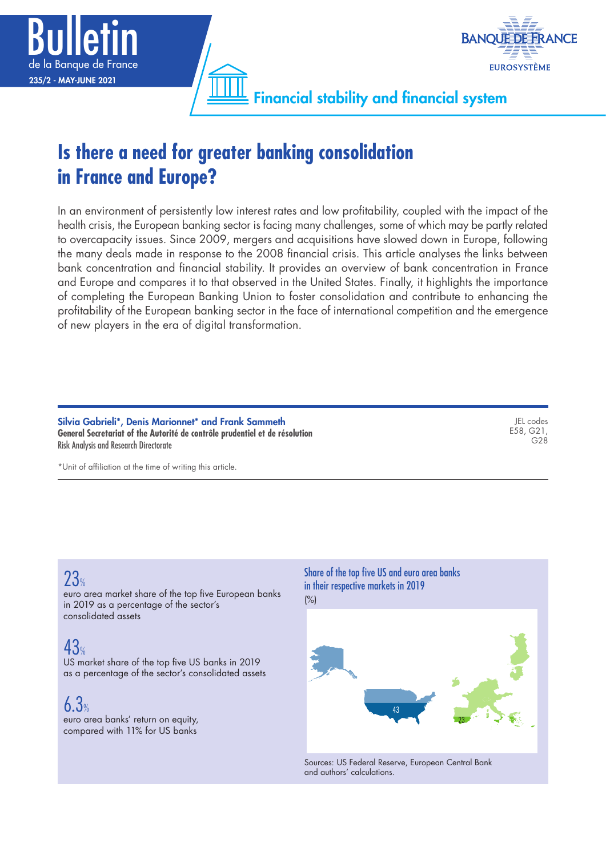



Financial stability and financial system

# **Is there a need for greater banking consolidation in France and Europe?**

In an environment of persistently low interest rates and low profitability, coupled with the impact of the health crisis, the European banking sector is facing many challenges, some of which may be partly related to overcapacity issues. Since 2009, mergers and acquisitions have slowed down in Europe, following the many deals made in response to the 2008 financial crisis. This article analyses the links between bank concentration and financial stability. It provides an overview of bank concentration in France and Europe and compares it to that observed in the United States. Finally, it highlights the importance of completing the European Banking Union to foster consolidation and contribute to enhancing the profitability of the European banking sector in the face of international competition and the emergence of new players in the era of digital transformation.

Silvia Gabrieli\*, Denis Marionnet\* and Frank Sammeth **General Secretariat of the Autorité de contrôle prudentiel et de résolution** Risk Analysis and Research Directorate

JEL codes E58, G21,  $G28$ 

\*Unit of affiliation at the time of writing this article.

# 23%

euro area market share of the top five European banks in 2019 as a percentage of the sector's consolidated assets

# 43%

US market share of the top five US banks in 2019 as a percentage of the sector's consolidated assets

 $6.3%$ 

euro area banks' return on equity, compared with 11% for US banks

#### Share of the top five US and euro area banks in their respective markets in 2019 (%)



Sources: US Federal Reserve, European Central Bank and authors' calculations.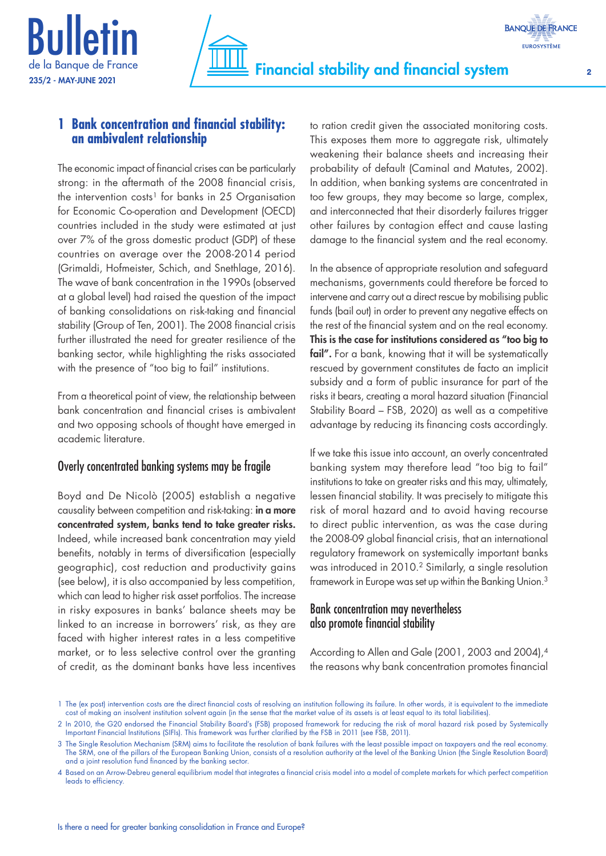



# **1 Bank concentration and financial stability: an ambivalent relationship**

The economic impact of financial crises can be particularly strong: in the aftermath of the 2008 financial crisis, the intervention costs<sup>1</sup> for banks in 25 Organisation for Economic Co‑operation and Development (OECD) countries included in the study were estimated at just over 7% of the gross domestic product (GDP) of these countries on average over the 2008‑2014 period (Grimaldi, Hofmeister, Schich, and Snethlage, 2016). The wave of bank concentration in the 1990s (observed at a global level) had raised the question of the impact of banking consolidations on risk-taking and financial stability (Group of Ten, 2001). The 2008 financial crisis further illustrated the need for greater resilience of the banking sector, while highlighting the risks associated with the presence of "too big to fail" institutions.

From a theoretical point of view, the relationship between bank concentration and financial crises is ambivalent and two opposing schools of thought have emerged in academic literature.

## Overly concentrated banking systems may be fragile

Boyd and De Nicolò (2005) establish a negative causality between competition and risk-taking: in a more concentrated system, banks tend to take greater risks. Indeed, while increased bank concentration may yield benefits, notably in terms of diversification (especially geographic), cost reduction and productivity gains (see below), it is also accompanied by less competition, which can lead to higher risk asset portfolios. The increase in risky exposures in banks' balance sheets may be linked to an increase in borrowers' risk, as they are faced with higher interest rates in a less competitive market, or to less selective control over the granting of credit, as the dominant banks have less incentives

to ration credit given the associated monitoring costs. This exposes them more to aggregate risk, ultimately weakening their balance sheets and increasing their probability of default (Caminal and Matutes, 2002). In addition, when banking systems are concentrated in too few groups, they may become so large, complex, and interconnected that their disorderly failures trigger other failures by contagion effect and cause lasting damage to the financial system and the real economy.

In the absence of appropriate resolution and safeguard mechanisms, governments could therefore be forced to intervene and carry out a direct rescue by mobilising public funds (bail out) in order to prevent any negative effects on the rest of the financial system and on the real economy. This is the case for institutions considered as "too big to fail". For a bank, knowing that it will be systematically rescued by government constitutes de facto an implicit subsidy and a form of public insurance for part of the risks it bears, creating a moral hazard situation (Financial Stability Board – FSB, 2020) as well as a competitive advantage by reducing its financing costs accordingly.

If we take this issue into account, an overly concentrated banking system may therefore lead "too big to fail" institutions to take on greater risks and this may, ultimately, lessen financial stability. It was precisely to mitigate this risk of moral hazard and to avoid having recourse to direct public intervention, as was the case during the 2008‑09 global financial crisis, that an international regulatory framework on systemically important banks was introduced in 2010.2 Similarly, a single resolution framework in Europe was set up within the Banking Union.3

# Bank concentration may nevertheless also promote financial stability

According to Allen and Gale (2001, 2003 and 2004),4 the reasons why bank concentration promotes financial

<sup>1</sup> The (ex post) intervention costs are the direct financial costs of resolving an institution following its failure. In other words, it is equivalent to the immediate cost of making an insolvent institution solvent again (in the sense that the market value of its assets is at least equal to its total liabilities).

<sup>2</sup> In 2010, the G20 endorsed the Financial Stability Board's (FSB) proposed framework for reducing the risk of moral hazard risk posed by Systemically Important Financial Institutions (SIFIs). This framework was further clarified by the FSB in 2011 (see FSB, 2011).

<sup>3</sup> The Single Resolution Mechanism (SRM) aims to facilitate the resolution of bank failures with the least possible impact on taxpayers and the real economy. The SRM, one of the pillars of the European Banking Union, consists of a resolution authority at the level of the Banking Union (the Single Resolution Board) and a joint resolution fund financed by the banking sector.

<sup>4</sup> Based on an Arrow-Debreu general equilibrium model that integrates a financial crisis model into a model of complete markets for which perfect competition leads to efficiency.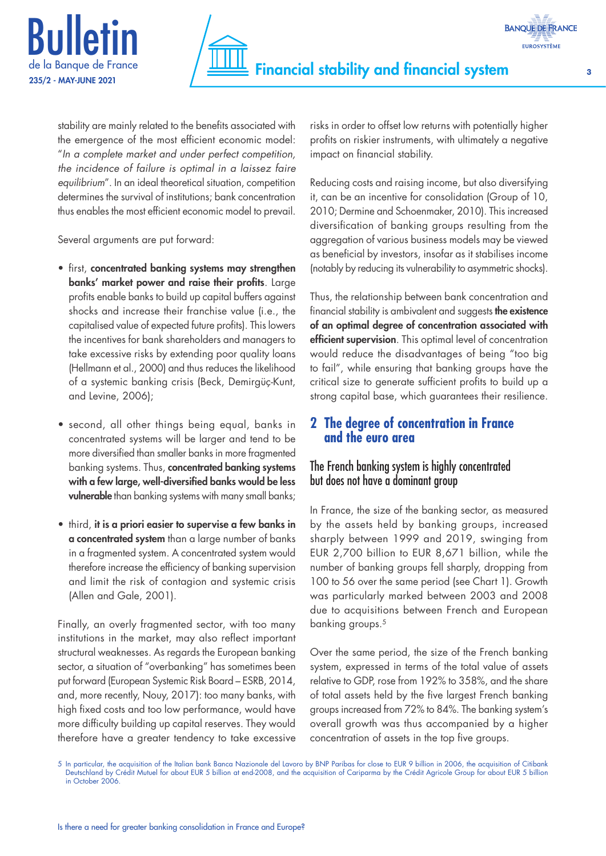



stability are mainly related to the benefits associated with the emergence of the most efficient economic model: "*In a complete market and under perfect competition, the incidence of failure is optimal in a laissez faire equilibrium*". In an ideal theoretical situation, competition determines the survival of institutions; bank concentration thus enables the most efficient economic model to prevail.

Several arguments are put forward:

- first, concentrated banking systems may strengthen banks' market power and raise their profits. Large profits enable banks to build up capital buffers against shocks and increase their franchise value (i.e., the capitalised value of expected future profits). This lowers the incentives for bank shareholders and managers to take excessive risks by extending poor quality loans (Hellmann et al., 2000) and thus reduces the likelihood of a systemic banking crisis (Beck, Demirgüç‑Kunt, and Levine, 2006);
- second, all other things being equal, banks in concentrated systems will be larger and tend to be more diversified than smaller banks in more fragmented banking systems. Thus, concentrated banking systems with a few large, well-diversified banks would be less vulnerable than banking systems with many small banks;
- third, it is a priori easier to supervise a few banks in a concentrated system than a large number of banks in a fragmented system. A concentrated system would therefore increase the efficiency of banking supervision and limit the risk of contagion and systemic crisis (Allen and Gale, 2001).

Finally, an overly fragmented sector, with too many institutions in the market, may also reflect important structural weaknesses. As regards the European banking sector, a situation of "overbanking" has sometimes been put forward (European Systemic Risk Board – ESRB, 2014, and, more recently, Nouy, 2017): too many banks, with high fixed costs and too low performance, would have more difficulty building up capital reserves. They would therefore have a greater tendency to take excessive risks in order to offset low returns with potentially higher profits on riskier instruments, with ultimately a negative impact on financial stability.

Reducing costs and raising income, but also diversifying it, can be an incentive for consolidation (Group of 10, 2010; Dermine and Schoenmaker, 2010). This increased diversification of banking groups resulting from the aggregation of various business models may be viewed as beneficial by investors, insofar as it stabilises income (notably by reducing its vulnerability to asymmetric shocks).

Thus, the relationship between bank concentration and financial stability is ambivalent and suggests the existence of an optimal degree of concentration associated with efficient supervision. This optimal level of concentration would reduce the disadvantages of being "too big to fail", while ensuring that banking groups have the critical size to generate sufficient profits to build up a strong capital base, which guarantees their resilience.

# **2 The degree of concentration in France and the euro area**

# The French banking system is highly concentrated but does not have a dominant group

In France, the size of the banking sector, as measured by the assets held by banking groups, increased sharply between 1999 and 2019, swinging from EUR 2,700 billion to EUR 8,671 billion, while the number of banking groups fell sharply, dropping from 100 to 56 over the same period (see Chart 1). Growth was particularly marked between 2003 and 2008 due to acquisitions between French and European banking groups.5

Over the same period, the size of the French banking system, expressed in terms of the total value of assets relative to GDP, rose from 192% to 358%, and the share of total assets held by the five largest French banking groups increased from 72% to 84%. The banking system's overall growth was thus accompanied by a higher concentration of assets in the top five groups.

<sup>5</sup> In particular, the acquisition of the Italian bank Banca Nazionale del Lavoro by BNP Paribas for close to EUR 9 billion in 2006, the acquisition of Citibank Deutschland by Crédit Mutuel for about EUR 5 billion at end-2008, and the acquisition of Cariparma by the Crédit Agricole Group for about EUR 5 billion in October 2006.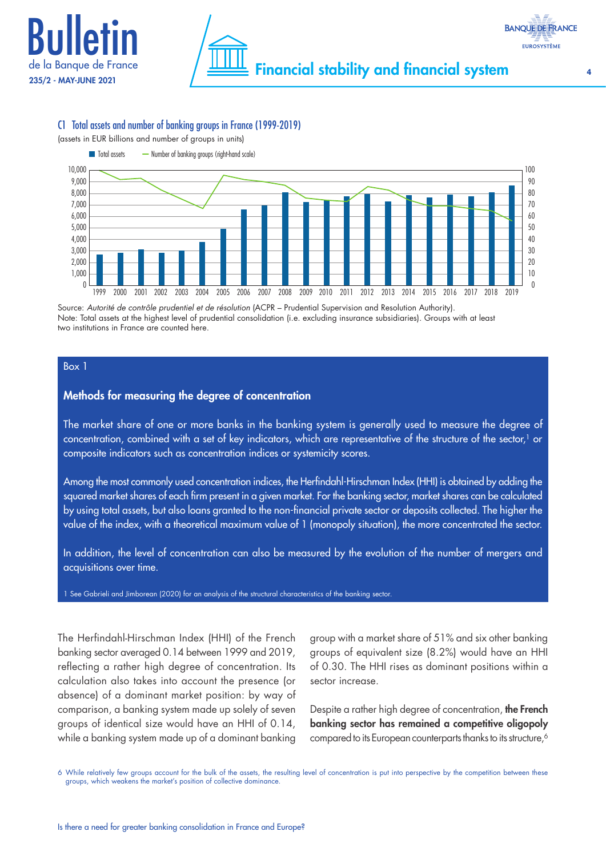



#### C1 Total assets and number of banking groups in France (1999‑2019)

(assets in EUR billions and number of groups in units)



Source: *Autorité de contrôle prudentiel et de résolution* (ACPR – Prudential Supervision and Resolution Authority). Note: Total assets at the highest level of prudential consolidation (i.e. excluding insurance subsidiaries). Groups with at least two institutions in France are counted here.

#### Box 1

#### Methods for measuring the degree of concentration

The market share of one or more banks in the banking system is generally used to measure the degree of concentration, combined with a set of key indicators, which are representative of the structure of the sector,<sup>1</sup> or composite indicators such as concentration indices or systemicity scores.

Among the most commonly used concentration indices, the Herfindahl-Hirschman Index (HHI) is obtained by adding the squared market shares of each firm present in a given market. For the banking sector, market shares can be calculated by using total assets, but also loans granted to the non‑financial private sector or deposits collected. The higher the value of the index, with a theoretical maximum value of 1 (monopoly situation), the more concentrated the sector.

In addition, the level of concentration can also be measured by the evolution of the number of mergers and acquisitions over time.

1 See Gabrieli and Jimborean (2020) for an analysis of the structural characteristics of the banking sector.

The Herfindahl-Hirschman Index (HHI) of the French banking sector averaged 0.14 between 1999 and 2019, reflecting a rather high degree of concentration. Its calculation also takes into account the presence (or absence) of a dominant market position: by way of comparison, a banking system made up solely of seven groups of identical size would have an HHI of 0.14, while a banking system made up of a dominant banking group with a market share of 51% and six other banking groups of equivalent size (8.2%) would have an HHI of 0.30. The HHI rises as dominant positions within a sector increase.

Despite a rather high degree of concentration, the French banking sector has remained a competitive oligopoly compared to its European counterparts thanks to its structure,<sup>6</sup>

6 While relatively few groups account for the bulk of the assets, the resulting level of concentration is put into perspective by the competition between these groups, which weakens the market's position of collective dominance.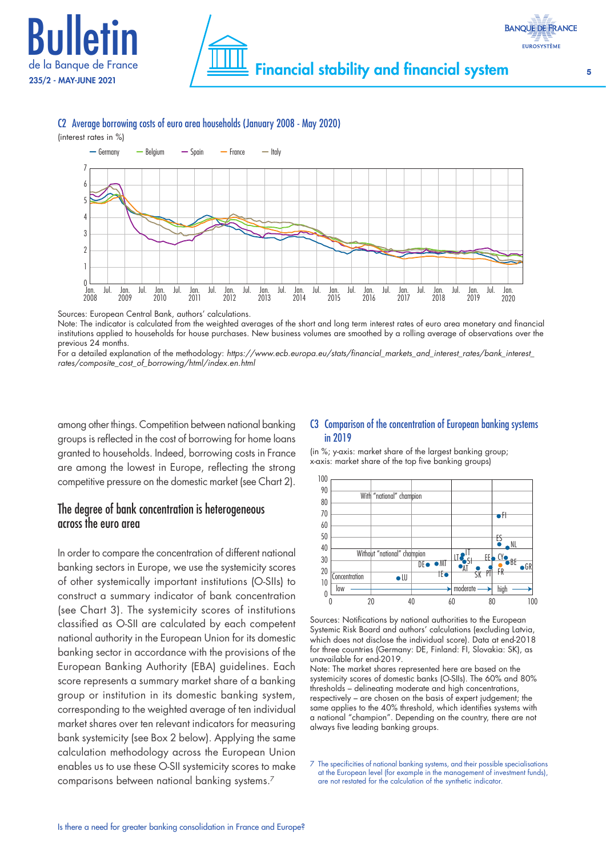



C2 Average borrowing costs of euro area households (January 2008 ‑ May 2020)



Sources: European Central Bank, authors' calculations.

Note: The indicator is calculated from the weighted averages of the short and long term interest rates of euro area monetary and financial institutions applied to households for house purchases. New business volumes are smoothed by a rolling average of observations over the previous 24 months.

For a detailed explanation of the methodology: *[https://www.ecb.europa.eu/stats/financial\\_markets\\_and\\_interest\\_rates/bank\\_interest\\_](https://www.ecb.europa.eu/stats/financial_markets_and_interest_rates/bank_interest_rates/composite_cost_of_borrowing/html/index.en.html) [rates/composite\\_cost\\_of\\_borrowing/html/index.en.html](https://www.ecb.europa.eu/stats/financial_markets_and_interest_rates/bank_interest_rates/composite_cost_of_borrowing/html/index.en.html)*

among other things. Competition between national banking groups is reflected in the cost of borrowing for home loans granted to households. Indeed, borrowing costs in France are among the lowest in Europe, reflecting the strong competitive pressure on the domestic market (see Chart 2).

## The degree of bank concentration is heterogeneous across the euro area

In order to compare the concentration of different national banking sectors in Europe, we use the systemicity scores of other systemically important institutions (O‑SIIs) to construct a summary indicator of bank concentration (see Chart 3). The systemicity scores of institutions classified as O‑SII are calculated by each competent national authority in the European Union for its domestic banking sector in accordance with the provisions of the European Banking Authority (EBA) guidelines. Each score represents a summary market share of a banking group or institution in its domestic banking system, corresponding to the weighted average of ten individual market shares over ten relevant indicators for measuring bank systemicity (see Box 2 below). Applying the same calculation methodology across the European Union enables us to use these O‑SII systemicity scores to make comparisons between national banking systems.7

#### C3 Comparison of the concentration of European banking systems in 2019

(in %; y‑axis: market share of the largest banking group; x‑axis: market share of the top five banking groups)



Sources: Notifications by national authorities to the European Systemic Risk Board and authors' calculations (excluding Latvia, which does not disclose the individual score). Data at end-2018 for three countries (Germany: DE, Finland: FI, Slovakia: SK), as unavailable for end‑2019.

Note: The market shares represented here are based on the systemicity scores of domestic banks (O‑SIIs). The 60% and 80% thresholds – delineating moderate and high concentrations, respectively – are chosen on the basis of expert judgement; the same applies to the 40% threshold, which identifies systems with a national "champion". Depending on the country, there are not always five leading banking groups.

7 The specificities of national banking systems, and their possible specialisations at the European level (for example in the management of investment funds), are not restated for the calculation of the synthetic indicator.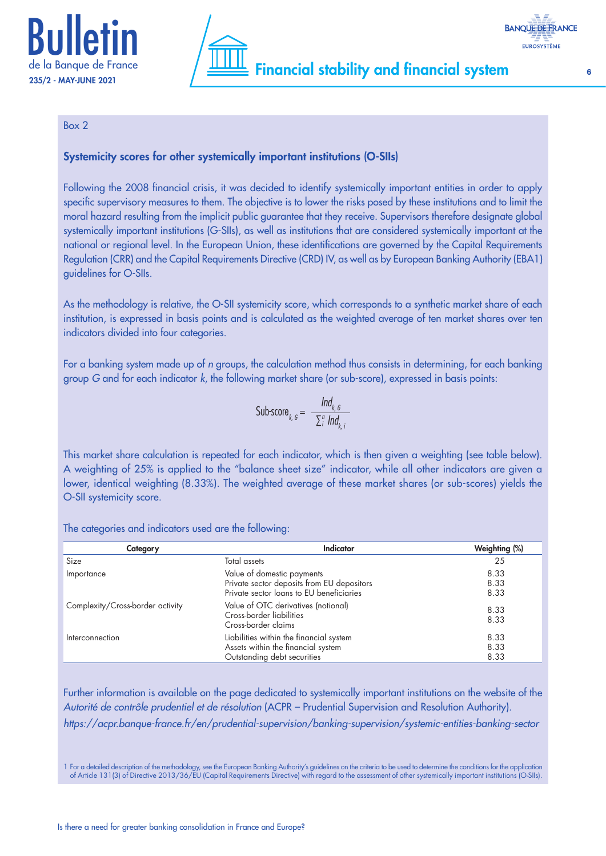



#### Box 2

#### Systemicity scores for other systemically important institutions (O-SIIs)

Following the 2008 financial crisis, it was decided to identify systemically important entities in order to apply specific supervisory measures to them. The objective is to lower the risks posed by these institutions and to limit the moral hazard resulting from the implicit public guarantee that they receive. Supervisors therefore designate global systemically important institutions (G-SIIs), as well as institutions that are considered systemically important at the national or regional level. In the European Union, these identifications are governed by the Capital Requirements Regulation (CRR) and the Capital Requirements Directive (CRD) IV, as well as by European Banking Authority (EBA1) guidelines for O‑SIIs.

As the methodology is relative, the O‑SII systemicity score, which corresponds to a synthetic market share of each institution, is expressed in basis points and is calculated as the weighted average of ten market shares over ten indicators divided into four categories.

For a banking system made up of *n* groups, the calculation method thus consists in determining, for each banking group *G* and for each indicator *k*, the following market share (or sub‑score), expressed in basis points:

Sub-score<sub>k, 6</sub> = 
$$
\frac{Ind_{k, 6}}{\sum_{i}^{n} Ind_{k, i}}
$$

This market share calculation is repeated for each indicator, which is then given a weighting (see table below). A weighting of 25% is applied to the "balance sheet size" indicator, while all other indicators are given a lower, identical weighting (8.33%). The weighted average of these market shares (or sub-scores) yields the O-SII systemicity score.

The categories and indicators used are the following:

| Category                         | <b>Indicator</b>                                                                                                     | Weighting (%)        |
|----------------------------------|----------------------------------------------------------------------------------------------------------------------|----------------------|
| Size                             | Total assets                                                                                                         | 25                   |
| Importance                       | Value of domestic payments<br>Private sector deposits from EU depositors<br>Private sector loans to EU beneficiaries | 8.33<br>8.33<br>8.33 |
| Complexity/Cross-border activity | Value of OTC derivatives (notional)<br>Cross-border liabilities<br>Cross-border claims                               | 8.33<br>8.33         |
| Interconnection                  | Liabilities within the financial system<br>Assets within the financial system<br>Outstanding debt securities         | 8.33<br>8.33<br>8.33 |

Further information is available on the page dedicated to systemically important institutions on the website of the *Autorité de contrôle prudentiel et de résolution* (ACPR – Prudential Supervision and Resolution Authority). *<https://acpr.banque-france.fr/en/prudential-supervision/banking-supervision/systemic-entities-banking-sector>*

1 For a detailed description of the methodology, see the European Banking Authority's guidelines on the criteria to be used to determine the conditions for the application of Article 131(3) of Directive 2013/36/EU (Capital Requirements Directive) with regard to the assessment of other systemically important institutions (O‑SIIs).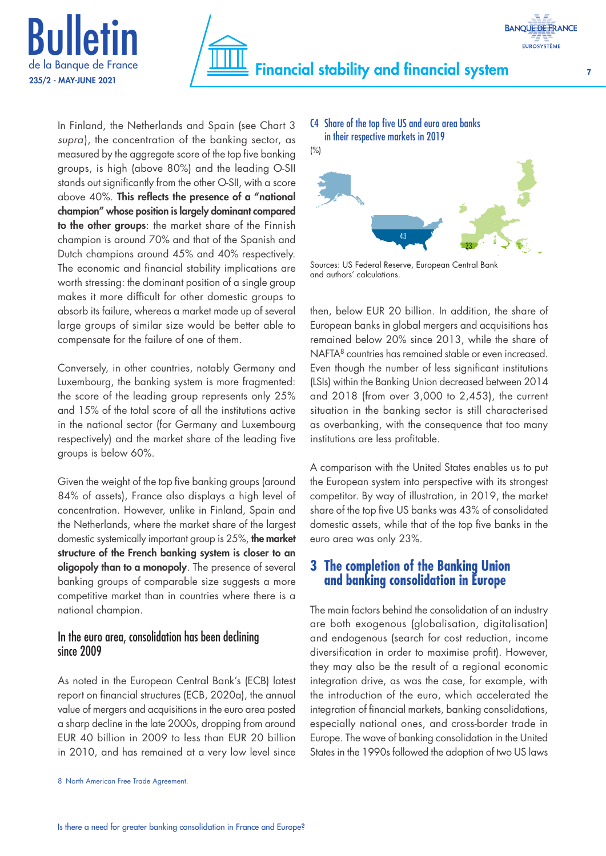



In Finland, the Netherlands and Spain (see Chart 3 *supra*), the concentration of the banking sector, as measured by the aggregate score of the top five banking groups, is high (above 80%) and the leading O‑SII stands out significantly from the other O‑SII, with a score above 40%. This reflects the presence of a "national champion" whose position is largely dominant compared to the other groups: the market share of the Finnish champion is around 70% and that of the Spanish and Dutch champions around 45% and 40% respectively. The economic and financial stability implications are worth stressing: the dominant position of a single group makes it more difficult for other domestic groups to absorb its failure, whereas a market made up of several large groups of similar size would be better able to compensate for the failure of one of them.

Conversely, in other countries, notably Germany and Luxembourg, the banking system is more fragmented: the score of the leading group represents only 25% and 15% of the total score of all the institutions active in the national sector (for Germany and Luxembourg respectively) and the market share of the leading five groups is below 60%.

Given the weight of the top five banking groups (around 84% of assets), France also displays a high level of concentration. However, unlike in Finland, Spain and the Netherlands, where the market share of the largest domestic systemically important group is 25%, the market structure of the French banking system is closer to an oligopoly than to a monopoly. The presence of several banking groups of comparable size suggests a more competitive market than in countries where there is a national champion.

#### In the euro area, consolidation has been declining since 2009

As noted in the European Central Bank's (ECB) latest report on financial structures (ECB, 2020a), the annual value of mergers and acquisitions in the euro area posted a sharp decline in the late 2000s, dropping from around EUR 40 billion in 2009 to less than EUR 20 billion in 2010, and has remained at a very low level since C4 Share of the top five US and euro area banks in their respective markets in 2019



Sources: US Federal Reserve, European Central Bank and authors' calculations.

then, below EUR 20 billion. In addition, the share of European banks in global mergers and acquisitions has remained below 20% since 2013, while the share of NAFTA8 countries has remained stable or even increased. Even though the number of less significant institutions (LSIs) within the Banking Union decreased between 2014 and 2018 (from over 3,000 to 2,453), the current situation in the banking sector is still characterised as overbanking, with the consequence that too many institutions are less profitable.

A comparison with the United States enables us to put the European system into perspective with its strongest competitor. By way of illustration, in 2019, the market share of the top five US banks was 43% of consolidated domestic assets, while that of the top five banks in the euro area was only 23%.

# **3 The completion of the Banking Union and banking consolidation in Europe**

The main factors behind the consolidation of an industry are both exogenous (globalisation, digitalisation) and endogenous (search for cost reduction, income diversification in order to maximise profit). However, they may also be the result of a regional economic integration drive, as was the case, for example, with the introduction of the euro, which accelerated the integration of financial markets, banking consolidations, especially national ones, and cross-border trade in Europe. The wave of banking consolidation in the United States in the 1990s followed the adoption of two US laws

<sup>8</sup> North American Free Trade Agreement.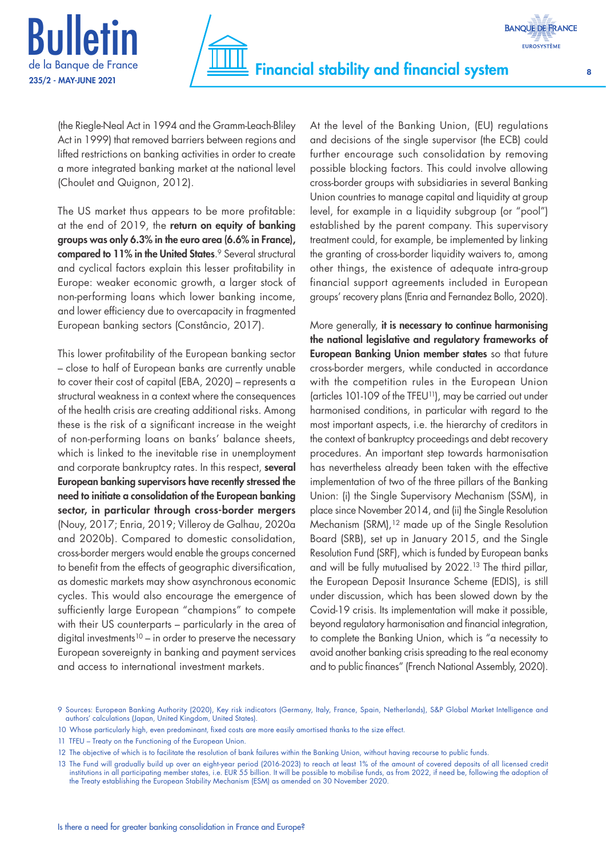



(the Riegle‑Neal Act in 1994 and the Gramm‑Leach‑Bliley Act in 1999) that removed barriers between regions and lifted restrictions on banking activities in order to create a more integrated banking market at the national level (Choulet and Quignon, 2012).

The US market thus appears to be more profitable: at the end of 2019, the return on equity of banking groups was only 6.3% in the euro area (6.6% in France), **compared to 11% in the United States**.<sup>9</sup> Several structural and cyclical factors explain this lesser profitability in Europe: weaker economic growth, a larger stock of non‑performing loans which lower banking income, and lower efficiency due to overcapacity in fragmented European banking sectors (Constâncio, 2017).

This lower profitability of the European banking sector – close to half of European banks are currently unable to cover their cost of capital (EBA, 2020) – represents a structural weakness in a context where the consequences of the health crisis are creating additional risks. Among these is the risk of a significant increase in the weight of non‑performing loans on banks' balance sheets, which is linked to the inevitable rise in unemployment and corporate bankruptcy rates. In this respect, several European banking supervisors have recently stressed the need to initiate a consolidation of the European banking sector, in particular through cross-border mergers (Nouy, 2017; Enria, 2019; Villeroy de Galhau, 2020a and 2020b). Compared to domestic consolidation, cross‑border mergers would enable the groups concerned to benefit from the effects of geographic diversification, as domestic markets may show asynchronous economic cycles. This would also encourage the emergence of sufficiently large European "champions" to compete with their US counterparts – particularly in the area of digital investments<sup>10</sup> – in order to preserve the necessary European sovereignty in banking and payment services and access to international investment markets.

At the level of the Banking Union, (EU) regulations and decisions of the single supervisor (the ECB) could further encourage such consolidation by removing possible blocking factors. This could involve allowing cross‑border groups with subsidiaries in several Banking Union countries to manage capital and liquidity at group level, for example in a liquidity subgroup (or "pool") established by the parent company. This supervisory treatment could, for example, be implemented by linking the granting of cross‑border liquidity waivers to, among other things, the existence of adequate intra‑group financial support agreements included in European groups' recovery plans (Enria and Fernandez Bollo, 2020).

More generally, it is necessary to continue harmonising the national legislative and regulatory frameworks of European Banking Union member states so that future cross‑border mergers, while conducted in accordance with the competition rules in the European Union (articles 101‑109 of the TFEU11), may be carried out under harmonised conditions, in particular with regard to the most important aspects, i.e. the hierarchy of creditors in the context of bankruptcy proceedings and debt recovery procedures. An important step towards harmonisation has nevertheless already been taken with the effective implementation of two of the three pillars of the Banking Union: (i) the Single Supervisory Mechanism (SSM), in place since November 2014, and (ii) the Single Resolution Mechanism (SRM),<sup>12</sup> made up of the Single Resolution Board (SRB), set up in January 2015, and the Single Resolution Fund (SRF), which is funded by European banks and will be fully mutualised by 2022.13 The third pillar, the European Deposit Insurance Scheme (EDIS), is still under discussion, which has been slowed down by the Covid‑19 crisis. Its implementation will make it possible, beyond regulatory harmonisation and financial integration, to complete the Banking Union, which is "a necessity to avoid another banking crisis spreading to the real economy and to public finances" (French National Assembly, 2020).

13 The Fund will gradually build up over an eight-year period (2016-2023) to reach at least 1% of the amount of covered deposits of all licensed credit institutions in all participating member states, i.e. EUR 55 billion. It will be possible to mobilise funds, as from 2022, if need be, following the adoption of the Treaty establishing the European Stability Mechanism (ESM) as amended on 30 November 2020.

<sup>9</sup> Sources: European Banking Authority (2020), Key risk indicators (Germany, Italy, France, Spain, Netherlands), S&P Global Market Intelligence and authors' calculations (Japan, United Kingdom, United States).

<sup>10</sup> Whose particularly high, even predominant, fixed costs are more easily amortised thanks to the size effect.

<sup>11</sup> TFEU – Treaty on the Functioning of the European Union.

<sup>12</sup> The objective of which is to facilitate the resolution of bank failures within the Banking Union, without having recourse to public funds.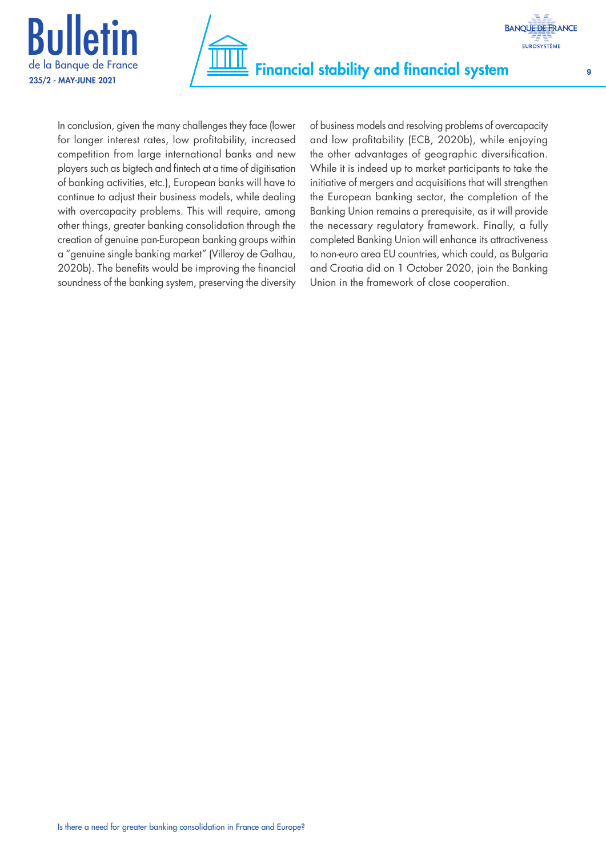



In conclusion, given the many challenges they face (lower for longer interest rates, low profitability, increased competition from large international banks and new players such as bigtech and fintech at a time of digitisation of banking activities, etc.), European banks will have to continue to adjust their business models, while dealing with overcapacity problems. This will require, among other things, greater banking consolidation through the creation of genuine pan‑European banking groups within a "genuine single banking market" (Villeroy de Galhau, 2020b). The benefits would be improving the financial soundness of the banking system, preserving the diversity of business models and resolving problems of overcapacity and low profitability (ECB, 2020b), while enjoying the other advantages of geographic diversification. While it is indeed up to market participants to take the initiative of mergers and acquisitions that will strengthen the European banking sector, the completion of the Banking Union remains a prerequisite, as it will provide the necessary regulatory framework. Finally, a fully completed Banking Union will enhance its attractiveness to non‑euro area EU countries, which could, as Bulgaria and Croatia did on 1 October 2020, join the Banking Union in the framework of close cooperation.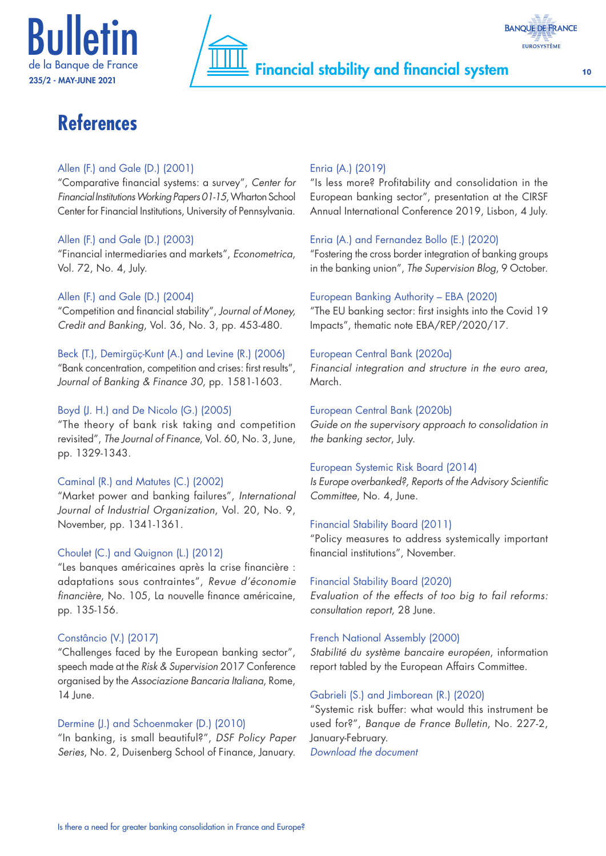





# **References**

#### Allen (F.) and Gale (D.) (2001)

"Comparative financial systems: a survey", *Center for Financial Institutions Working Papers 01-15*, Wharton School Center for Financial Institutions, University of Pennsylvania.

#### Allen (F.) and Gale (D.) (2003)

"Financial intermediaries and markets", *Econometrica*, Vol. 72, No. 4, July.

#### Allen (F.) and Gale (D.) (2004)

"Competition and financial stability", *Journal of Money, Credit and Banking*, Vol. 36, No. 3, pp. 453‑480.

#### Beck (T.), Demirgüç‑Kunt (A.) and Levine (R.) (2006)

"Bank concentration, competition and crises: first results", *Journal of Banking & Finance 30*, pp. 1581‑1603.

#### Boyd (J. H.) and De Nicolo (G.) (2005)

"The theory of bank risk taking and competition revisited", *The Journal of Finance*, Vol. 60, No. 3, June, pp. 1329‑1343.

#### Caminal (R.) and Matutes (C.) (2002)

"Market power and banking failures", *International Journal of Industrial Organization*, Vol. 20, No. 9, November, pp. 1341‑1361.

## Choulet (C.) and Quignon (L.) (2012)

"Les banques américaines après la crise financière : adaptations sous contraintes", *Revue d'économie financière*, No. 105, La nouvelle finance américaine, pp. 135‑156.

#### Constâncio (V.) (2017)

"Challenges faced by the European banking sector", speech made at the *Risk & Supervision* 2017 Conference organised by the *Associazione Bancaria Italiana*, Rome, 14 June.

#### Dermine (J.) and Schoenmaker (D.) (2010)

"In banking, is small beautiful?", *DSF Policy Paper Series*, No. 2, Duisenberg School of Finance, January.

### Enria (A.) (2019)

"Is less more? Profitability and consolidation in the European banking sector", presentation at the CIRSF Annual International Conference 2019, Lisbon, 4 July.

#### Enria (A.) and Fernandez Bollo (E.) (2020)

"Fostering the cross border integration of banking groups in the banking union", *The Supervision Blog*, 9 October.

#### European Banking Authority – EBA (2020)

"The EU banking sector: first insights into the Covid 19 Impacts", thematic note EBA/REP/2020/17.

#### European Central Bank (2020a)

*Financial integration and structure in the euro area*, March.

#### European Central Bank (2020b)

*Guide on the supervisory approach to consolidation in the banking sector*, July.

#### European Systemic Risk Board (2014)

*Is Europe overbanked?, Reports of the Advisory Scientific Committee*, No. 4, June.

#### Financial Stability Board (2011)

"Policy measures to address systemically important financial institutions", November.

#### Financial Stability Board (2020)

*Evaluation of the effects of too big to fail reforms: consultation report*, 28 June.

#### French National Assembly (2000)

*Stabilité du système bancaire européen*, information report tabled by the European Affairs Committee.

#### Gabrieli (S.) and Jimborean (R.) (2020)

"Systemic risk buffer: what would this instrument be used for?", *Banque de France Bulletin*, No. 227-2, January‑February. *[Download the document](https://publications.banque-france.fr/sites/default/files/medias/documents/819415_bdf227-2_coussin_en_vfinale.pdf)*